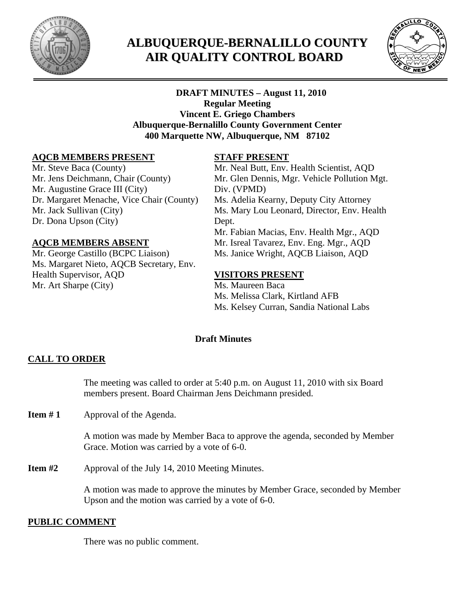

# **ALBUQUERQUE-BERNALILLO COUNTY AIR QUALITY CONTROL BOARD**



# **DRAFT MINUTES – August 11, 2010 Regular Meeting Vincent E. Griego Chambers Albuquerque-Bernalillo County Government Center 400 Marquette NW, Albuquerque, NM 87102**

# **AQCB MEMBERS PRESENT**

Mr. Steve Baca (County) Mr. Jens Deichmann, Chair (County) Mr. Augustine Grace III (City) Dr. Margaret Menache, Vice Chair (County) Mr. Jack Sullivan (City) Dr. Dona Upson (City)

#### **AQCB MEMBERS ABSENT**

Mr. George Castillo (BCPC Liaison) Ms. Margaret Nieto, AQCB Secretary, Env. Health Supervisor, AQD Mr. Art Sharpe (City)

# **STAFF PRESENT**

Mr. Neal Butt, Env. Health Scientist, AQD Mr. Glen Dennis, Mgr. Vehicle Pollution Mgt. Div. (VPMD) Ms. Adelia Kearny, Deputy City Attorney Ms. Mary Lou Leonard, Director, Env. Health Dept. Mr. Fabian Macias, Env. Health Mgr., AQD Mr. Isreal Tavarez, Env. Eng. Mgr., AQD Ms. Janice Wright, AQCB Liaison, AQD

# **VISITORS PRESENT**

Ms. Maureen Baca Ms. Melissa Clark, Kirtland AFB Ms. Kelsey Curran, Sandia National Labs

# **Draft Minutes**

# **CALL TO ORDER**

The meeting was called to order at 5:40 p.m. on August 11, 2010 with six Board members present. Board Chairman Jens Deichmann presided.

**Item #1** Approval of the Agenda.

A motion was made by Member Baca to approve the agenda, seconded by Member Grace. Motion was carried by a vote of 6-0.

**Item #2** Approval of the July 14, 2010 Meeting Minutes.

 A motion was made to approve the minutes by Member Grace, seconded by Member Upson and the motion was carried by a vote of 6-0.

# **PUBLIC COMMENT**

There was no public comment.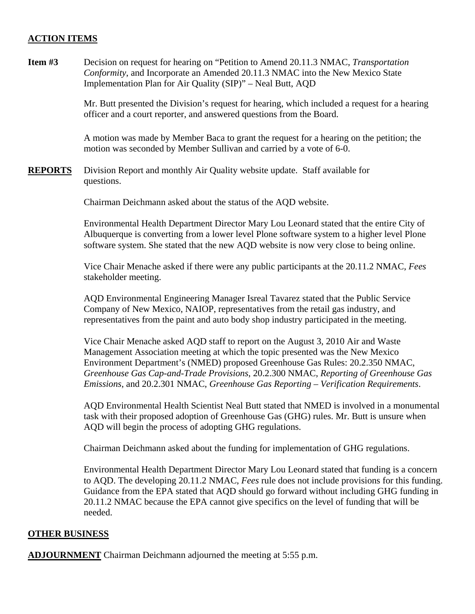#### **ACTION ITEMS**

**Item #3** Decision on request for hearing on "Petition to Amend 20.11.3 NMAC, *Transportation Conformity*, and Incorporate an Amended 20.11.3 NMAC into the New Mexico State Implementation Plan for Air Quality (SIP)" – Neal Butt, AQD

> Mr. Butt presented the Division's request for hearing, which included a request for a hearing officer and a court reporter, and answered questions from the Board.

A motion was made by Member Baca to grant the request for a hearing on the petition; the motion was seconded by Member Sullivan and carried by a vote of 6-0.

**REPORTS** Division Report and monthly Air Quality website update. Staff available for questions.

Chairman Deichmann asked about the status of the AQD website.

Environmental Health Department Director Mary Lou Leonard stated that the entire City of Albuquerque is converting from a lower level Plone software system to a higher level Plone software system. She stated that the new AQD website is now very close to being online.

Vice Chair Menache asked if there were any public participants at the 20.11.2 NMAC, *Fees*  stakeholder meeting.

AQD Environmental Engineering Manager Isreal Tavarez stated that the Public Service Company of New Mexico, NAIOP, representatives from the retail gas industry, and representatives from the paint and auto body shop industry participated in the meeting.

Vice Chair Menache asked AQD staff to report on the August 3, 2010 Air and Waste Management Association meeting at which the topic presented was the New Mexico Environment Department's (NMED) proposed Greenhouse Gas Rules: 20.2.350 NMAC, *Greenhouse Gas Cap-and-Trade Provisions*, 20.2.300 NMAC, *Reporting of Greenhouse Gas Emissions*, and 20.2.301 NMAC, *Greenhouse Gas Reporting – Verification Requirements*.

AQD Environmental Health Scientist Neal Butt stated that NMED is involved in a monumental task with their proposed adoption of Greenhouse Gas (GHG) rules. Mr. Butt is unsure when AQD will begin the process of adopting GHG regulations.

Chairman Deichmann asked about the funding for implementation of GHG regulations.

Environmental Health Department Director Mary Lou Leonard stated that funding is a concern to AQD. The developing 20.11.2 NMAC, *Fees* rule does not include provisions for this funding. Guidance from the EPA stated that AQD should go forward without including GHG funding in 20.11.2 NMAC because the EPA cannot give specifics on the level of funding that will be needed.

#### **OTHER BUSINESS**

**ADJOURNMENT** Chairman Deichmann adjourned the meeting at 5:55 p.m.